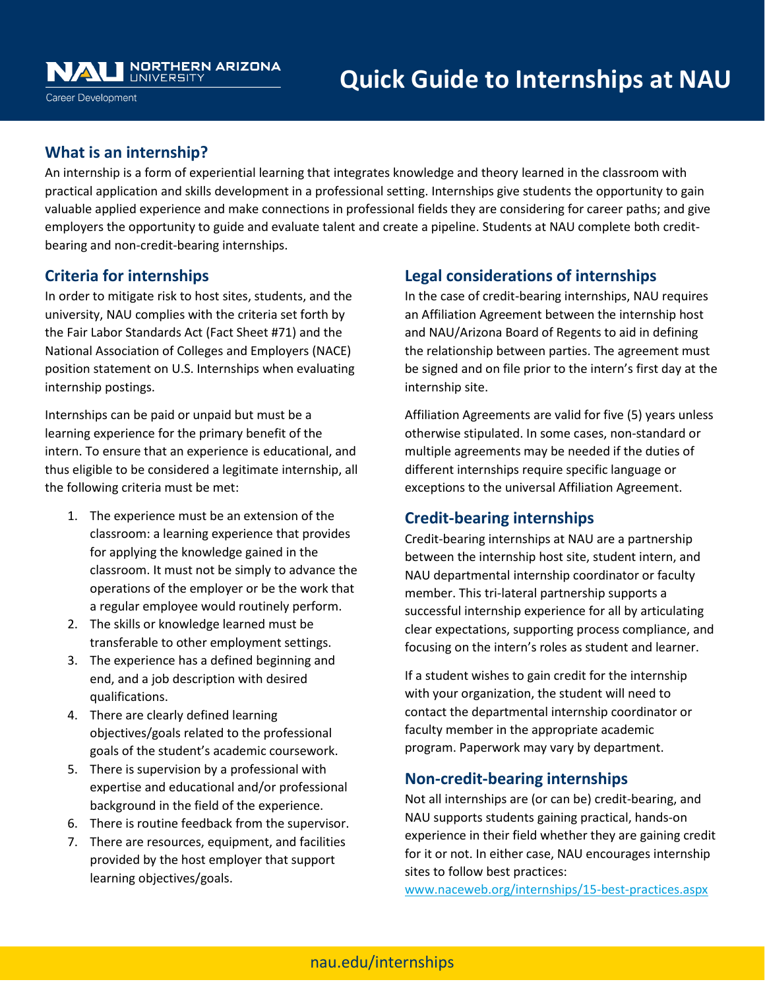## **What is an internship?**

An internship is a form of experiential learning that integrates knowledge and theory learned in the classroom with practical application and skills development in a professional setting. Internships give students the opportunity to gain valuable applied experience and make connections in professional fields they are considering for career paths; and give employers the opportunity to guide and evaluate talent and create a pipeline. Students at NAU complete both creditbearing and non-credit-bearing internships.

### **Criteria for internships**

In order to mitigate risk to host sites, students, and the university, NAU complies with the criteria set forth by the Fair Labor Standards Act (Fact Sheet #71) and the National Association of Colleges and Employers (NACE) position statement on U.S. Internships when evaluating internship postings.

Internships can be paid or unpaid but must be a learning experience for the primary benefit of the intern. To ensure that an experience is educational, and thus eligible to be considered a legitimate internship, all the following criteria must be met:

- 1. The experience must be an extension of the classroom: a learning experience that provides for applying the knowledge gained in the classroom. It must not be simply to advance the operations of the employer or be the work that a regular employee would routinely perform.
- 2. The skills or knowledge learned must be transferable to other employment settings.
- 3. The experience has a defined beginning and end, and a job description with desired qualifications.
- 4. There are clearly defined learning objectives/goals related to the professional goals of the student's academic coursework.
- 5. There is supervision by a professional with expertise and educational and/or professional background in the field of the experience.
- 6. There is routine feedback from the supervisor.
- 7. There are resources, equipment, and facilities provided by the host employer that support learning objectives/goals.

## **Legal considerations of internships**

In the case of credit-bearing internships, NAU requires an Affiliation Agreement between the internship host and NAU/Arizona Board of Regents to aid in defining the relationship between parties. The agreement must be signed and on file prior to the intern's first day at the internship site.

Affiliation Agreements are valid for five (5) years unless otherwise stipulated. In some cases, non-standard or multiple agreements may be needed if the duties of different internships require specific language or exceptions to the universal Affiliation Agreement.

## **Credit-bearing internships**

Credit-bearing internships at NAU are a partnership between the internship host site, student intern, and NAU departmental internship coordinator or faculty member. This tri-lateral partnership supports a successful internship experience for all by articulating clear expectations, supporting process compliance, and focusing on the intern's roles as student and learner.

If a student wishes to gain credit for the internship with your organization, the student will need to contact the departmental internship coordinator or faculty member in the appropriate academic program. Paperwork may vary by department.

## **Non-credit-bearing internships**

Not all internships are (or can be) credit-bearing, and NAU supports students gaining practical, hands-on experience in their field whether they are gaining credit for it or not. In either case, NAU encourages internship sites to follow best practices:

[www.naceweb.org/internships/15-best-practices.aspx](http://www.naceweb.org/internships/15-best-practices.aspx)